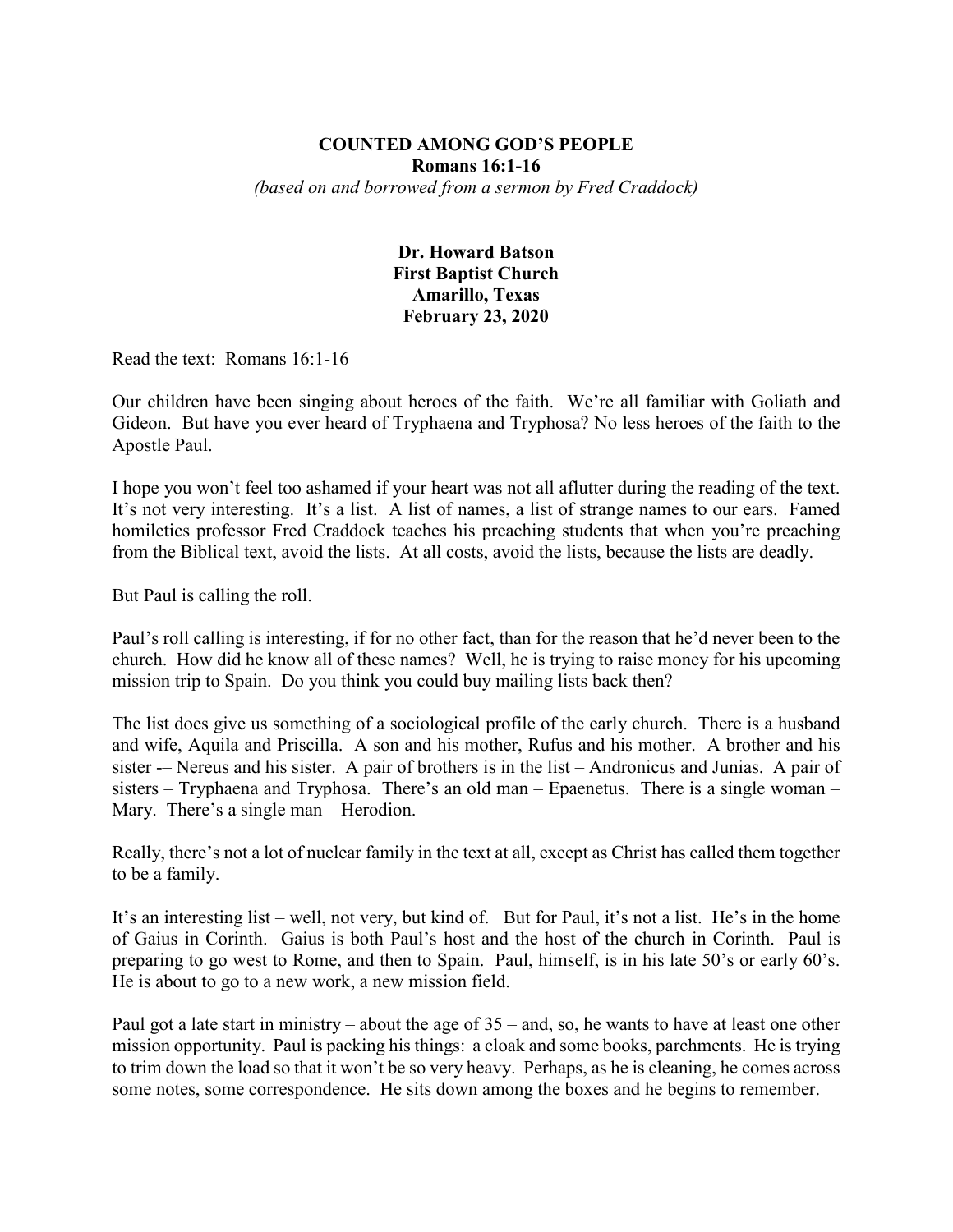## **COUNTED AMONG GOD'S PEOPLE Romans 16:1-16** *(based on and borrowed from a sermon by Fred Craddock)*

## **Dr. Howard Batson First Baptist Church Amarillo, Texas February 23, 2020**

Read the text: Romans 16:1-16

Our children have been singing about heroes of the faith. We're all familiar with Goliath and Gideon. But have you ever heard of Tryphaena and Tryphosa? No less heroes of the faith to the Apostle Paul.

I hope you won't feel too ashamed if your heart was not all aflutter during the reading of the text. It's not very interesting. It's a list. A list of names, a list of strange names to our ears. Famed homiletics professor Fred Craddock teaches his preaching students that when you're preaching from the Biblical text, avoid the lists. At all costs, avoid the lists, because the lists are deadly.

But Paul is calling the roll.

Paul's roll calling is interesting, if for no other fact, than for the reason that he'd never been to the church. How did he know all of these names? Well, he is trying to raise money for his upcoming mission trip to Spain. Do you think you could buy mailing lists back then?

The list does give us something of a sociological profile of the early church. There is a husband and wife, Aquila and Priscilla. A son and his mother, Rufus and his mother. A brother and his sister -– Nereus and his sister. A pair of brothers is in the list – Andronicus and Junias. A pair of sisters – Tryphaena and Tryphosa. There's an old man – Epaenetus. There is a single woman – Mary. There's a single man – Herodion.

Really, there's not a lot of nuclear family in the text at all, except as Christ has called them together to be a family.

It's an interesting list – well, not very, but kind of. But for Paul, it's not a list. He's in the home of Gaius in Corinth. Gaius is both Paul's host and the host of the church in Corinth. Paul is preparing to go west to Rome, and then to Spain. Paul, himself, is in his late 50's or early 60's. He is about to go to a new work, a new mission field.

Paul got a late start in ministry – about the age of 35 – and, so, he wants to have at least one other mission opportunity. Paul is packing his things: a cloak and some books, parchments. He is trying to trim down the load so that it won't be so very heavy. Perhaps, as he is cleaning, he comes across some notes, some correspondence. He sits down among the boxes and he begins to remember.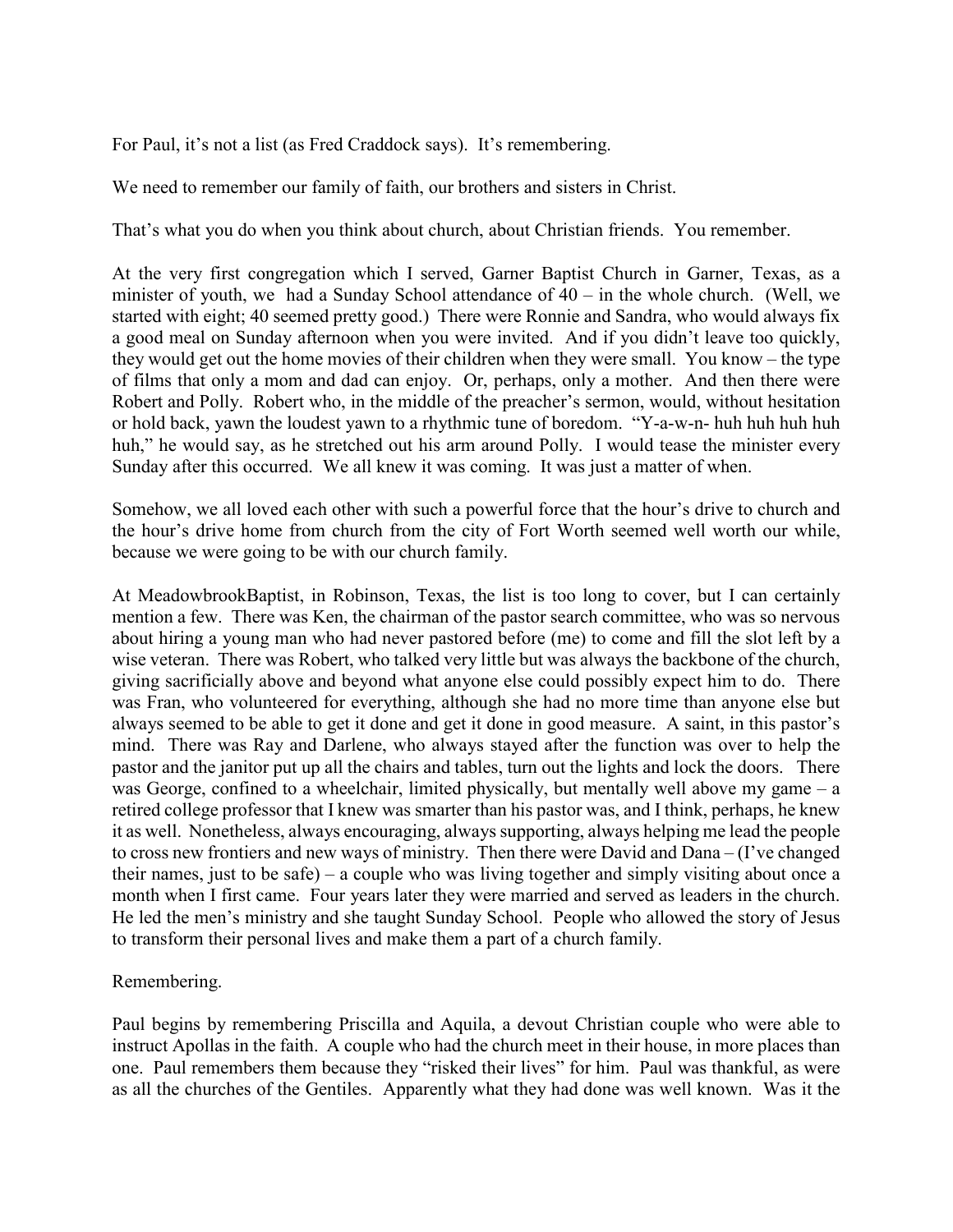For Paul, it's not a list (as Fred Craddock says). It's remembering.

We need to remember our family of faith, our brothers and sisters in Christ.

That's what you do when you think about church, about Christian friends. You remember.

At the very first congregation which I served, Garner Baptist Church in Garner, Texas, as a minister of youth, we had a Sunday School attendance of 40 – in the whole church. (Well, we started with eight; 40 seemed pretty good.) There were Ronnie and Sandra, who would always fix a good meal on Sunday afternoon when you were invited. And if you didn't leave too quickly, they would get out the home movies of their children when they were small. You know – the type of films that only a mom and dad can enjoy. Or, perhaps, only a mother. And then there were Robert and Polly. Robert who, in the middle of the preacher's sermon, would, without hesitation or hold back, yawn the loudest yawn to a rhythmic tune of boredom. "Y-a-w-n- huh huh huh huh huh," he would say, as he stretched out his arm around Polly. I would tease the minister every Sunday after this occurred. We all knew it was coming. It was just a matter of when.

Somehow, we all loved each other with such a powerful force that the hour's drive to church and the hour's drive home from church from the city of Fort Worth seemed well worth our while, because we were going to be with our church family.

At MeadowbrookBaptist, in Robinson, Texas, the list is too long to cover, but I can certainly mention a few. There was Ken, the chairman of the pastor search committee, who was so nervous about hiring a young man who had never pastored before (me) to come and fill the slot left by a wise veteran. There was Robert, who talked very little but was always the backbone of the church, giving sacrificially above and beyond what anyone else could possibly expect him to do. There was Fran, who volunteered for everything, although she had no more time than anyone else but always seemed to be able to get it done and get it done in good measure. A saint, in this pastor's mind. There was Ray and Darlene, who always stayed after the function was over to help the pastor and the janitor put up all the chairs and tables, turn out the lights and lock the doors. There was George, confined to a wheelchair, limited physically, but mentally well above my game – a retired college professor that I knew was smarter than his pastor was, and I think, perhaps, he knew it as well. Nonetheless, always encouraging, always supporting, always helping me lead the people to cross new frontiers and new ways of ministry. Then there were David and Dana – (I've changed their names, just to be safe) – a couple who was living together and simply visiting about once a month when I first came. Four years later they were married and served as leaders in the church. He led the men's ministry and she taught Sunday School. People who allowed the story of Jesus to transform their personal lives and make them a part of a church family.

## Remembering.

Paul begins by remembering Priscilla and Aquila, a devout Christian couple who were able to instruct Apollas in the faith. A couple who had the church meet in their house, in more places than one. Paul remembers them because they "risked their lives" for him. Paul was thankful, as were as all the churches of the Gentiles. Apparently what they had done was well known. Was it the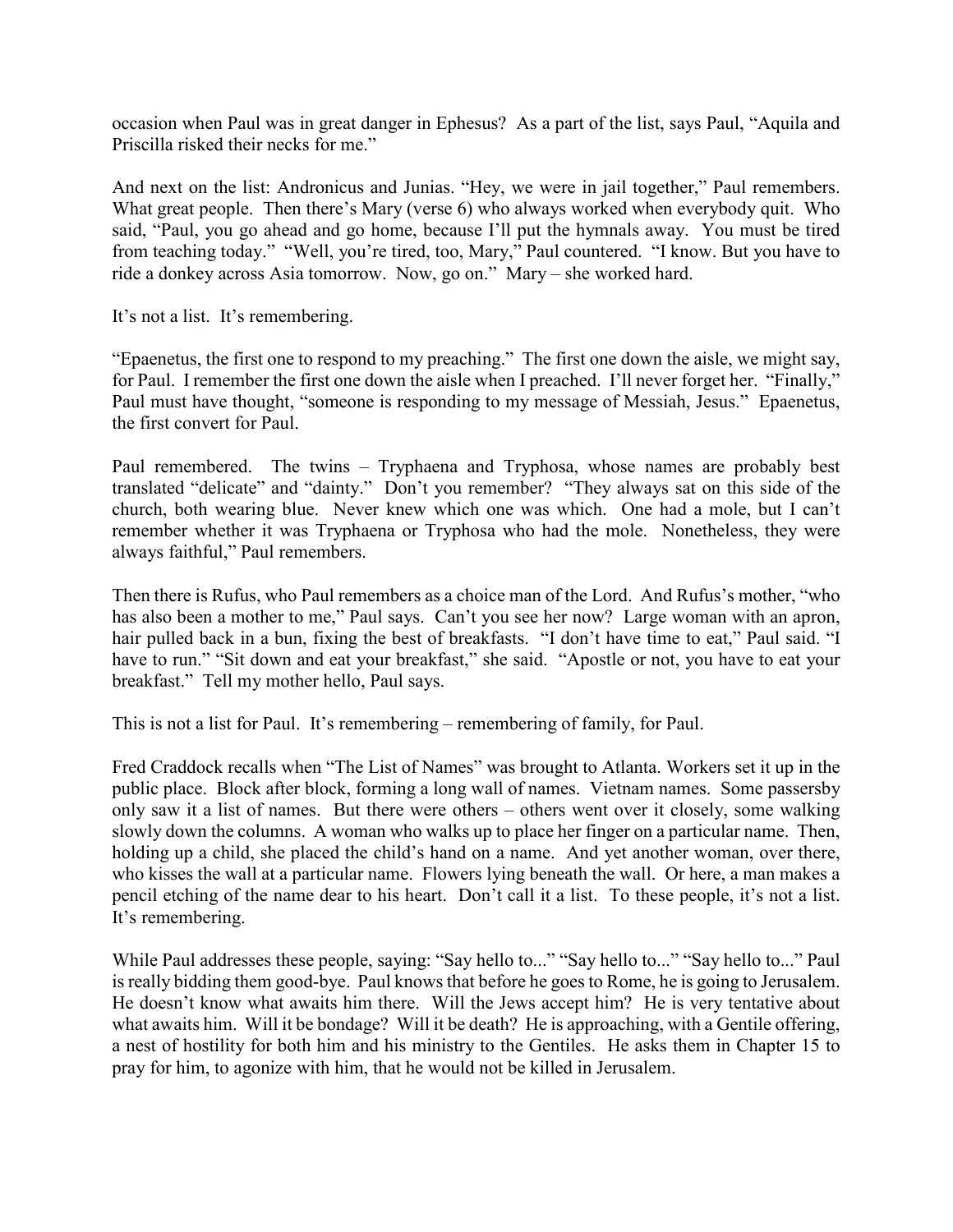occasion when Paul was in great danger in Ephesus? As a part of the list, says Paul, "Aquila and Priscilla risked their necks for me."

And next on the list: Andronicus and Junias. "Hey, we were in jail together," Paul remembers. What great people. Then there's Mary (verse 6) who always worked when everybody quit. Who said, "Paul, you go ahead and go home, because I'll put the hymnals away. You must be tired from teaching today." "Well, you're tired, too, Mary," Paul countered. "I know. But you have to ride a donkey across Asia tomorrow. Now, go on." Mary – she worked hard.

It's not a list. It's remembering.

"Epaenetus, the first one to respond to my preaching." The first one down the aisle, we might say, for Paul. I remember the first one down the aisle when I preached. I'll never forget her. "Finally," Paul must have thought, "someone is responding to my message of Messiah, Jesus." Epaenetus, the first convert for Paul.

Paul remembered. The twins – Tryphaena and Tryphosa, whose names are probably best translated "delicate" and "dainty." Don't you remember? "They always sat on this side of the church, both wearing blue. Never knew which one was which. One had a mole, but I can't remember whether it was Tryphaena or Tryphosa who had the mole. Nonetheless, they were always faithful," Paul remembers.

Then there is Rufus, who Paul remembers as a choice man of the Lord. And Rufus's mother, "who has also been a mother to me," Paul says. Can't you see her now? Large woman with an apron, hair pulled back in a bun, fixing the best of breakfasts. "I don't have time to eat," Paul said. "I have to run." "Sit down and eat your breakfast," she said. "Apostle or not, you have to eat your breakfast." Tell my mother hello, Paul says.

This is not a list for Paul. It's remembering – remembering of family, for Paul.

Fred Craddock recalls when "The List of Names" was brought to Atlanta. Workers set it up in the public place. Block after block, forming a long wall of names. Vietnam names. Some passersby only saw it a list of names. But there were others – others went over it closely, some walking slowly down the columns. A woman who walks up to place her finger on a particular name. Then, holding up a child, she placed the child's hand on a name. And yet another woman, over there, who kisses the wall at a particular name. Flowers lying beneath the wall. Or here, a man makes a pencil etching of the name dear to his heart. Don't call it a list. To these people, it's not a list. It's remembering.

While Paul addresses these people, saying: "Say hello to..." "Say hello to..." "Say hello to..." Paul is really bidding them good-bye. Paul knows that before he goes to Rome, he is going to Jerusalem. He doesn't know what awaits him there. Will the Jews accept him? He is very tentative about what awaits him. Will it be bondage? Will it be death? He is approaching, with a Gentile offering, a nest of hostility for both him and his ministry to the Gentiles. He asks them in Chapter 15 to pray for him, to agonize with him, that he would not be killed in Jerusalem.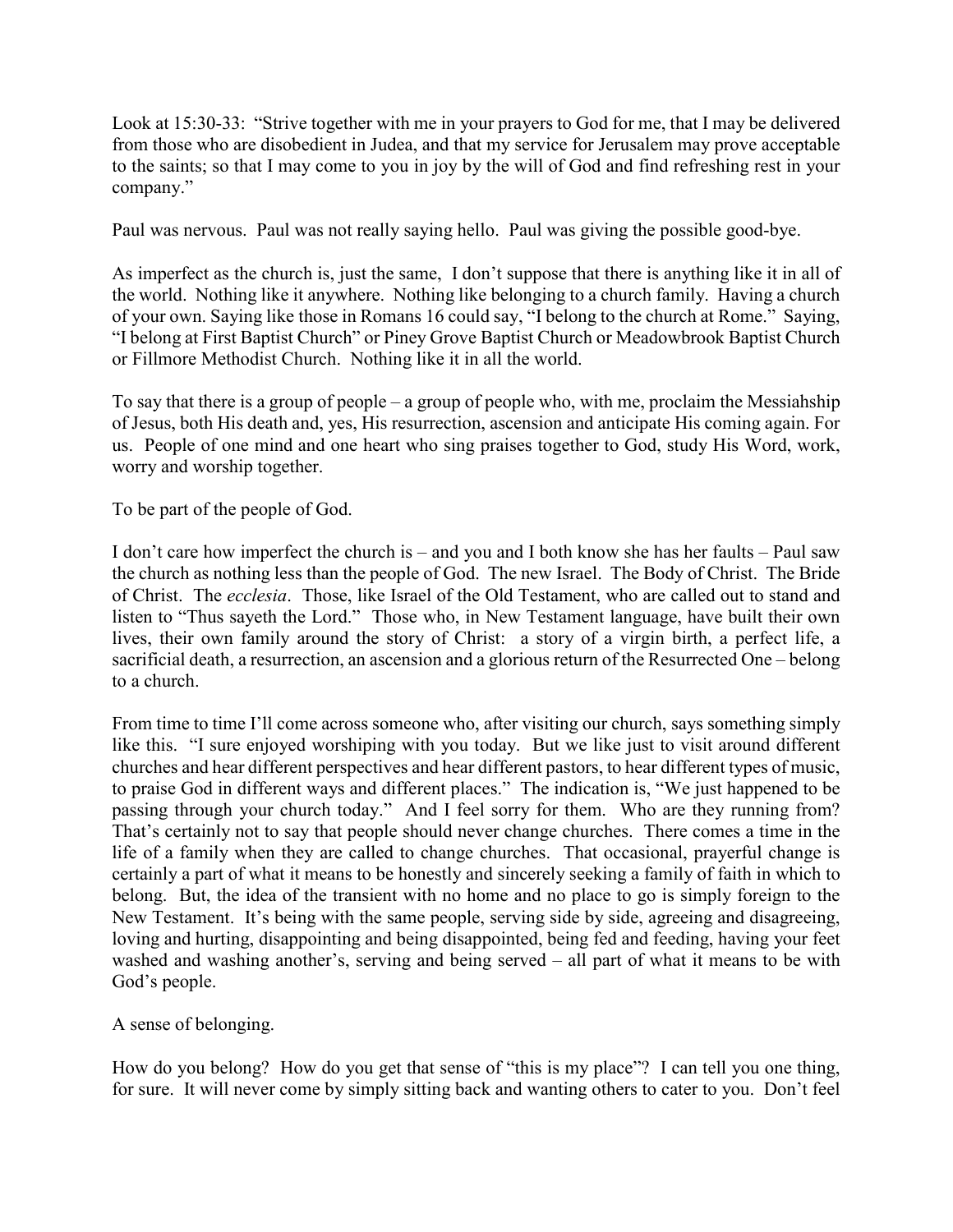Look at 15:30-33: "Strive together with me in your prayers to God for me, that I may be delivered from those who are disobedient in Judea, and that my service for Jerusalem may prove acceptable to the saints; so that I may come to you in joy by the will of God and find refreshing rest in your company."

Paul was nervous. Paul was not really saying hello. Paul was giving the possible good-bye.

As imperfect as the church is, just the same, I don't suppose that there is anything like it in all of the world. Nothing like it anywhere. Nothing like belonging to a church family. Having a church of your own. Saying like those in Romans 16 could say, "I belong to the church at Rome." Saying, "I belong at First Baptist Church" or Piney Grove Baptist Church or Meadowbrook Baptist Church or Fillmore Methodist Church. Nothing like it in all the world.

To say that there is a group of people – a group of people who, with me, proclaim the Messiahship of Jesus, both His death and, yes, His resurrection, ascension and anticipate His coming again. For us. People of one mind and one heart who sing praises together to God, study His Word, work, worry and worship together.

To be part of the people of God.

I don't care how imperfect the church is – and you and I both know she has her faults – Paul saw the church as nothing less than the people of God. The new Israel. The Body of Christ. The Bride of Christ. The *ecclesia*. Those, like Israel of the Old Testament, who are called out to stand and listen to "Thus sayeth the Lord." Those who, in New Testament language, have built their own lives, their own family around the story of Christ: a story of a virgin birth, a perfect life, a sacrificial death, a resurrection, an ascension and a glorious return of the Resurrected One – belong to a church.

From time to time I'll come across someone who, after visiting our church, says something simply like this. "I sure enjoyed worshiping with you today. But we like just to visit around different churches and hear different perspectives and hear different pastors, to hear different types of music, to praise God in different ways and different places." The indication is, "We just happened to be passing through your church today." And I feel sorry for them. Who are they running from? That's certainly not to say that people should never change churches. There comes a time in the life of a family when they are called to change churches. That occasional, prayerful change is certainly a part of what it means to be honestly and sincerely seeking a family of faith in which to belong. But, the idea of the transient with no home and no place to go is simply foreign to the New Testament. It's being with the same people, serving side by side, agreeing and disagreeing, loving and hurting, disappointing and being disappointed, being fed and feeding, having your feet washed and washing another's, serving and being served – all part of what it means to be with God's people.

## A sense of belonging.

How do you belong? How do you get that sense of "this is my place"? I can tell you one thing, for sure. It will never come by simply sitting back and wanting others to cater to you. Don't feel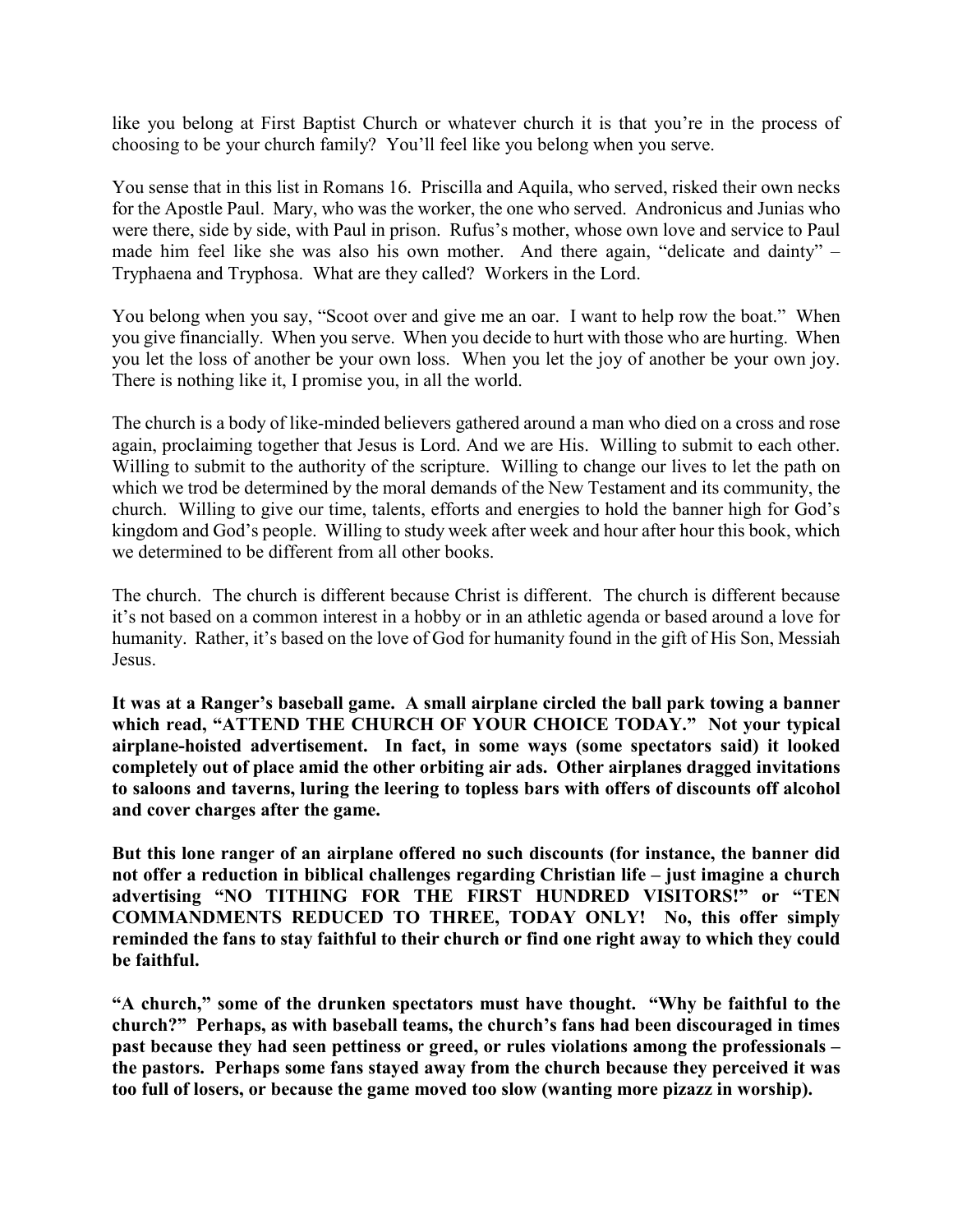like you belong at First Baptist Church or whatever church it is that you're in the process of choosing to be your church family? You'll feel like you belong when you serve.

You sense that in this list in Romans 16. Priscilla and Aquila, who served, risked their own necks for the Apostle Paul. Mary, who was the worker, the one who served. Andronicus and Junias who were there, side by side, with Paul in prison. Rufus's mother, whose own love and service to Paul made him feel like she was also his own mother. And there again, "delicate and dainty" – Tryphaena and Tryphosa. What are they called? Workers in the Lord.

You belong when you say, "Scoot over and give me an oar. I want to help row the boat." When you give financially. When you serve. When you decide to hurt with those who are hurting. When you let the loss of another be your own loss. When you let the joy of another be your own joy. There is nothing like it, I promise you, in all the world.

The church is a body of like-minded believers gathered around a man who died on a cross and rose again, proclaiming together that Jesus is Lord. And we are His. Willing to submit to each other. Willing to submit to the authority of the scripture. Willing to change our lives to let the path on which we trod be determined by the moral demands of the New Testament and its community, the church. Willing to give our time, talents, efforts and energies to hold the banner high for God's kingdom and God's people. Willing to study week after week and hour after hour this book, which we determined to be different from all other books.

The church. The church is different because Christ is different. The church is different because it's not based on a common interest in a hobby or in an athletic agenda or based around a love for humanity. Rather, it's based on the love of God for humanity found in the gift of His Son, Messiah Jesus.

**It was at a Ranger's baseball game. A small airplane circled the ball park towing a banner which read, "ATTEND THE CHURCH OF YOUR CHOICE TODAY." Not your typical airplane-hoisted advertisement. In fact, in some ways (some spectators said) it looked completely out of place amid the other orbiting air ads. Other airplanes dragged invitations to saloons and taverns, luring the leering to topless bars with offers of discounts off alcohol and cover charges after the game.** 

**But this lone ranger of an airplane offered no such discounts (for instance, the banner did not offer a reduction in biblical challenges regarding Christian life – just imagine a church advertising "NO TITHING FOR THE FIRST HUNDRED VISITORS!" or "TEN COMMANDMENTS REDUCED TO THREE, TODAY ONLY! No, this offer simply reminded the fans to stay faithful to their church or find one right away to which they could be faithful.**

**"A church," some of the drunken spectators must have thought. "Why be faithful to the church?" Perhaps, as with baseball teams, the church's fans had been discouraged in times past because they had seen pettiness or greed, or rules violations among the professionals – the pastors. Perhaps some fans stayed away from the church because they perceived it was too full of losers, or because the game moved too slow (wanting more pizazz in worship).**